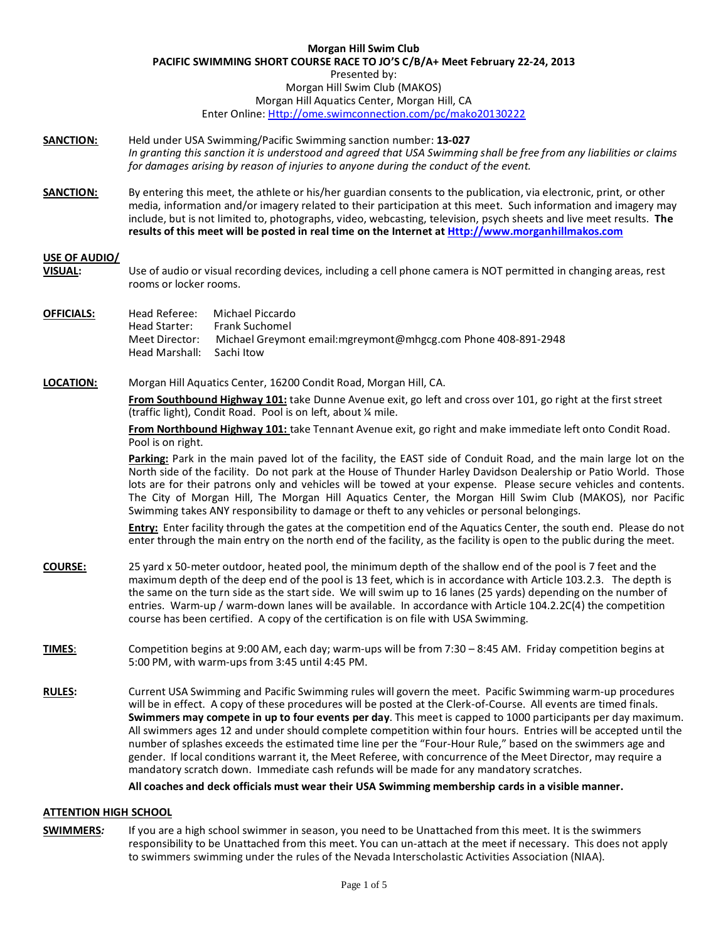#### **Morgan Hill Swim Club PACIFIC SWIMMING SHORT COURSE RACE TO JO'S C/B/A+ Meet February 22-24, 2013** Presented by: Morgan Hill Swim Club (MAKOS) Morgan Hill Aquatics Center, Morgan Hill, CA Enter Online[: Http://ome.swimconnection.com/pc/mako20130222](http://ome.swimconnection.com/pc/mako20130222)

- **SANCTION:** Held under USA Swimming/Pacific Swimming sanction number: **13-027** *In granting this sanction it is understood and agreed that USA Swimming shall be free from any liabilities or claims for damages arising by reason of injuries to anyone during the conduct of the event.*
- **SANCTION:** By entering this meet, the athlete or his/her guardian consents to the publication, via electronic, print, or other media, information and/or imagery related to their participation at this meet. Such information and imagery may include, but is not limited to, photographs, video, webcasting, television, psych sheets and live meet results. **The results of this meet will be posted in real time on the Internet a[t Http://www.morganhillmakos.com](http://www.morganhillmakos.com/)**

## **USE OF AUDIO/**

**VISUAL:** Use of audio or visual recording devices, including a cell phone camera is NOT permitted in changing areas, rest rooms or locker rooms.

| OFFICIALS: | Head Referee:<br>Head Starter:<br>Meet Director: | Michael Piccardo<br>Frank Suchomel<br>Michael Greymont email: mgreymont@mhgcg.com Phone 408-891-2948 |
|------------|--------------------------------------------------|------------------------------------------------------------------------------------------------------|
|            | Head Marshall: Sachi Itow                        |                                                                                                      |

**LOCATION:** Morgan Hill Aquatics Center, 16200 Condit Road, Morgan Hill, CA.

**From Southbound Highway 101:** take Dunne Avenue exit, go left and cross over 101, go right at the first street (traffic light), Condit Road. Pool is on left, about ¼ mile.

**From Northbound Highway 101:** take Tennant Avenue exit, go right and make immediate left onto Condit Road. Pool is on right.

Parking: Park in the main paved lot of the facility, the EAST side of Conduit Road, and the main large lot on the North side of the facility. Do not park at the House of Thunder Harley Davidson Dealership or Patio World. Those lots are for their patrons only and vehicles will be towed at your expense. Please secure vehicles and contents. The City of Morgan Hill, The Morgan Hill Aquatics Center, the Morgan Hill Swim Club (MAKOS), nor Pacific Swimming takes ANY responsibility to damage or theft to any vehicles or personal belongings.

**Entry:** Enter facility through the gates at the competition end of the Aquatics Center, the south end. Please do not enter through the main entry on the north end of the facility, as the facility is open to the public during the meet.

- **COURSE:** 25 yard x 50-meter outdoor, heated pool, the minimum depth of the shallow end of the pool is 7 feet and the maximum depth of the deep end of the pool is 13 feet, which is in accordance with Article 103.2.3. The depth is the same on the turn side as the start side. We will swim up to 16 lanes (25 yards) depending on the number of entries. Warm-up / warm-down lanes will be available. In accordance with Article 104.2.2C(4) the competition course has been certified. A copy of the certification is on file with USA Swimming.
- **TIMES**: Competition begins at 9:00 AM, each day; warm-ups will be from 7:30 8:45 AM. Friday competition begins at 5:00 PM, with warm-ups from 3:45 until 4:45 PM.
- **RULES:** Current USA Swimming and Pacific Swimming rules will govern the meet. Pacific Swimming warm-up procedures will be in effect. A copy of these procedures will be posted at the Clerk-of-Course. All events are timed finals. **Swimmers may compete in up to four events per day**. This meet is capped to 1000 participants per day maximum. All swimmers ages 12 and under should complete competition within four hours. Entries will be accepted until the number of splashes exceeds the estimated time line per the "Four-Hour Rule," based on the swimmers age and gender. If local conditions warrant it, the Meet Referee, with concurrence of the Meet Director, may require a mandatory scratch down. Immediate cash refunds will be made for any mandatory scratches.

**All coaches and deck officials must wear their USA Swimming membership cards in a visible manner.**

## **ATTENTION HIGH SCHOOL**

**SWIMMERS***:* If you are a high school swimmer in season, you need to be Unattached from this meet. It is the swimmers responsibility to be Unattached from this meet. You can un-attach at the meet if necessary. This does not apply to swimmers swimming under the rules of the Nevada Interscholastic Activities Association (NIAA).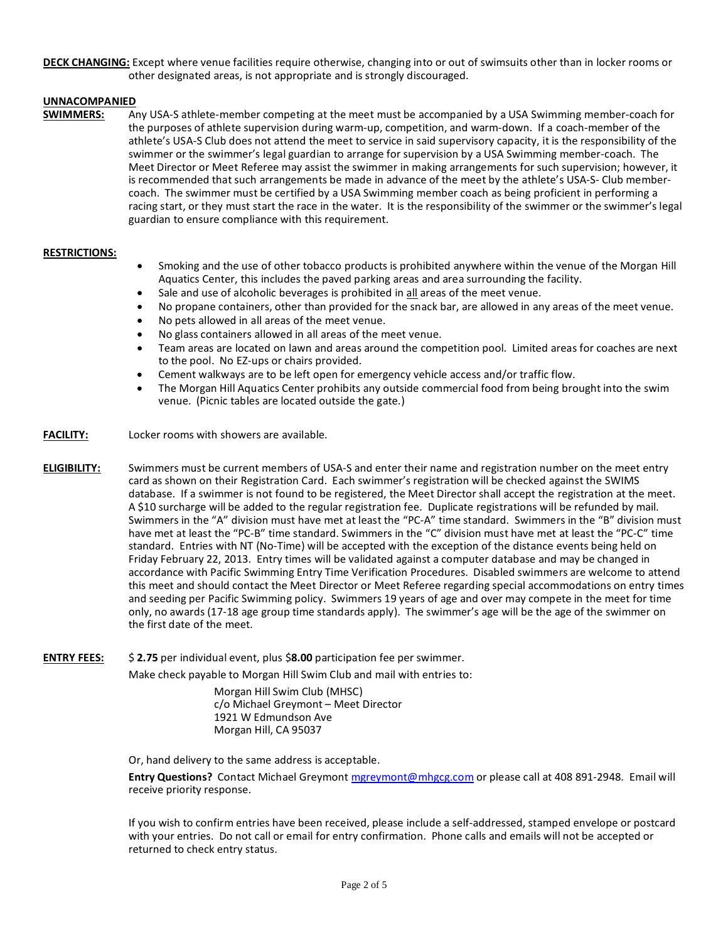**DECK CHANGING:** Except where venue facilities require otherwise, changing into or out of swimsuits other than in locker rooms or other designated areas, is not appropriate and is strongly discouraged.

# **UNNACOMPANIED**

**SWIMMERS:** Any USA-S athlete-member competing at the meet must be accompanied by a USA Swimming member-coach for the purposes of athlete supervision during warm-up, competition, and warm-down. If a coach-member of the athlete's USA-S Club does not attend the meet to service in said supervisory capacity, it is the responsibility of the swimmer or the swimmer's legal guardian to arrange for supervision by a USA Swimming member-coach. The Meet Director or Meet Referee may assist the swimmer in making arrangements for such supervision; however, it is recommended that such arrangements be made in advance of the meet by the athlete's USA-S- Club membercoach. The swimmer must be certified by a USA Swimming member coach as being proficient in performing a racing start, or they must start the race in the water. It is the responsibility of the swimmer or the swimmer's legal guardian to ensure compliance with this requirement.

## **RESTRICTIONS:**

- Smoking and the use of other tobacco products is prohibited anywhere within the venue of the Morgan Hill Aquatics Center, this includes the paved parking areas and area surrounding the facility.
- Sale and use of alcoholic beverages is prohibited in all areas of the meet venue.
- No propane containers, other than provided for the snack bar, are allowed in any areas of the meet venue.
- No pets allowed in all areas of the meet venue.
- No glass containers allowed in all areas of the meet venue.
- Team areas are located on lawn and areas around the competition pool. Limited areas for coaches are next to the pool. No EZ-ups or chairs provided.
- Cement walkways are to be left open for emergency vehicle access and/or traffic flow.
- The Morgan Hill Aquatics Center prohibits any outside commercial food from being brought into the swim venue. (Picnic tables are located outside the gate.)
- **FACILITY:** Locker rooms with showers are available.
- **ELIGIBILITY:** Swimmers must be current members of USA-S and enter their name and registration number on the meet entry card as shown on their Registration Card. Each swimmer's registration will be checked against the SWIMS database. If a swimmer is not found to be registered, the Meet Director shall accept the registration at the meet. A \$10 surcharge will be added to the regular registration fee. Duplicate registrations will be refunded by mail. Swimmers in the "A" division must have met at least the "PC-A" time standard. Swimmers in the "B" division must have met at least the "PC-B" time standard. Swimmers in the "C" division must have met at least the "PC-C" time standard. Entries with NT (No-Time) will be accepted with the exception of the distance events being held on Friday February 22, 2013. Entry times will be validated against a computer database and may be changed in accordance with Pacific Swimming Entry Time Verification Procedures. Disabled swimmers are welcome to attend this meet and should contact the Meet Director or Meet Referee regarding special accommodations on entry times and seeding per Pacific Swimming policy. Swimmers 19 years of age and over may compete in the meet for time only, no awards (17-18 age group time standards apply).The swimmer's age will be the age of the swimmer on the first date of the meet.
- **ENTRY FEES:** \$ **2.75** per individual event, plus \$**8.00** participation fee per swimmer.

Make check payable to Morgan Hill Swim Club and mail with entries to:

Morgan Hill Swim Club (MHSC) c/o Michael Greymont – Meet Director 1921 W Edmundson Ave Morgan Hill, CA 95037

Or, hand delivery to the same address is acceptable.

**Entry Questions?** Contact Michael Greymon[t mgreymont@mhgcg.com](mailto:mgreymont@mhgcg.com) or please call at 408 891-2948. Email will receive priority response.

If you wish to confirm entries have been received, please include a self-addressed, stamped envelope or postcard with your entries. Do not call or email for entry confirmation. Phone calls and emails will not be accepted or returned to check entry status.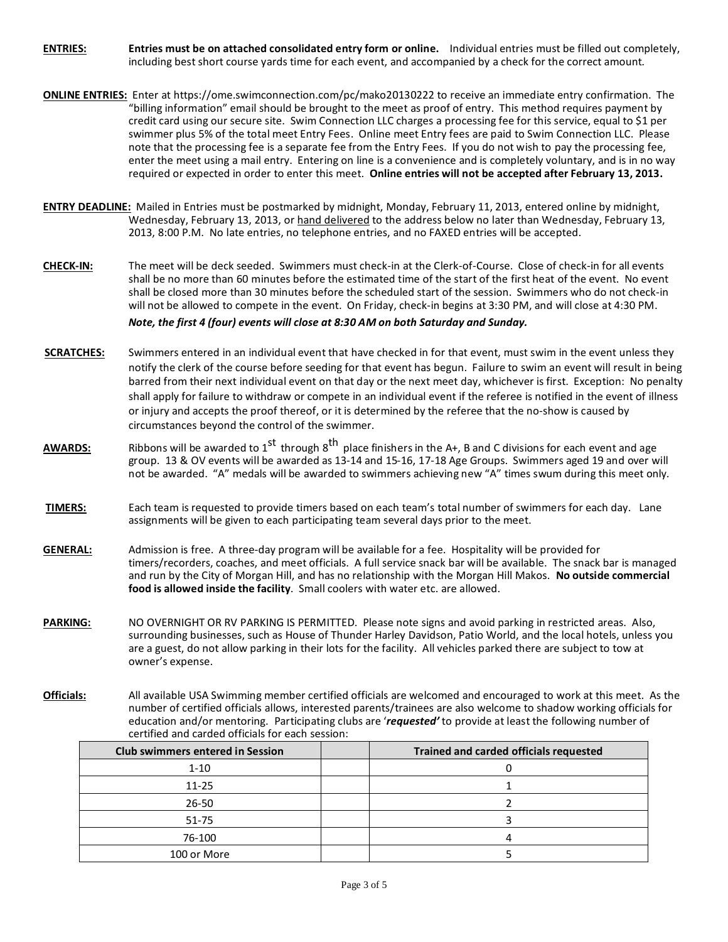**ENTRIES: Entries must be on attached consolidated entry form or online.** Individual entries must be filled out completely, including best short course yards time for each event, and accompanied by a check for the correct amount*.* 

- **ONLINE ENTRIES:** Enter at https://ome.swimconnection.com/pc/mako20130222 to receive an immediate entry confirmation. The "billing information" email should be brought to the meet as proof of entry. This method requires payment by credit card using our secure site. Swim Connection LLC charges a processing fee for this service, equal to \$1 per swimmer plus 5% of the total meet Entry Fees. Online meet Entry fees are paid to Swim Connection LLC. Please note that the processing fee is a separate fee from the Entry Fees. If you do not wish to pay the processing fee, enter the meet using a mail entry. Entering on line is a convenience and is completely voluntary, and is in no way required or expected in order to enter this meet. **Online entries will not be accepted after February 13, 2013.**
- **ENTRY DEADLINE:** Mailed in Entries must be postmarked by midnight, Monday, February 11, 2013, entered online by midnight, Wednesday, February 13, 2013, or hand delivered to the address below no later than Wednesday, February 13, 2013, 8:00 P.M. No late entries, no telephone entries, and no FAXED entries will be accepted.
- **CHECK-IN:** The meet will be deck seeded. Swimmers must check-in at the Clerk-of-Course. Close of check-in for all events shall be no more than 60 minutes before the estimated time of the start of the first heat of the event. No event shall be closed more than 30 minutes before the scheduled start of the session. Swimmers who do not check-in will not be allowed to compete in the event. On Friday, check-in begins at 3:30 PM, and will close at 4:30 PM. *Note, the first 4 (four) events will close at 8:30 AM on both Saturday and Sunday.*
- **SCRATCHES:** Swimmers entered in an individual event that have checked in for that event, must swim in the event unless they notify the clerk of the course before seeding for that event has begun. Failure to swim an event will result in being barred from their next individual event on that day or the next meet day, whichever is first. Exception: No penalty shall apply for failure to withdraw or compete in an individual event if the referee is notified in the event of illness or injury and accepts the proof thereof, or it is determined by the referee that the no-show is caused by circumstances beyond the control of the swimmer.
- **AWARDS:** Ribbons will be awarded to 1<sup>st</sup> through 8<sup>th</sup> place finishers in the A+, B and C divisions for each event and age group. 13 & OV events will be awarded as 13-14 and 15-16, 17-18 Age Groups. Swimmers aged 19 and over will not be awarded. "A" medals will be awarded to swimmers achieving new "A" times swum during this meet only.
- **TIMERS:** Each team is requested to provide timers based on each team's total number of swimmers for each day. Lane assignments will be given to each participating team several days prior to the meet.
- **GENERAL:** Admission is free. A three-day program will be available for a fee. Hospitality will be provided for timers/recorders, coaches, and meet officials. A full service snack bar will be available. The snack bar is managed and run by the City of Morgan Hill, and has no relationship with the Morgan Hill Makos. **No outside commercial food is allowed inside the facility**. Small coolers with water etc. are allowed.
- **PARKING:** NO OVERNIGHT OR RV PARKING IS PERMITTED. Please note signs and avoid parking in restricted areas. Also, surrounding businesses, such as House of Thunder Harley Davidson, Patio World, and the local hotels, unless you are a guest, do not allow parking in their lots for the facility. All vehicles parked there are subject to tow at owner's expense.
- **Officials:** All available USA Swimming member certified officials are welcomed and encouraged to work at this meet. As the number of certified officials allows, interested parents/trainees are also welcome to shadow working officials for education and/or mentoring. Participating clubs are '*requested'* to provide at least the following number of certified and carded officials for each session:

| <b>Club swimmers entered in Session</b> | <b>Trained and carded officials requested</b> |
|-----------------------------------------|-----------------------------------------------|
| $1 - 10$                                |                                               |
| $11 - 25$                               |                                               |
| $26 - 50$                               |                                               |
| $51 - 75$                               |                                               |
| 76-100                                  |                                               |
| 100 or More                             |                                               |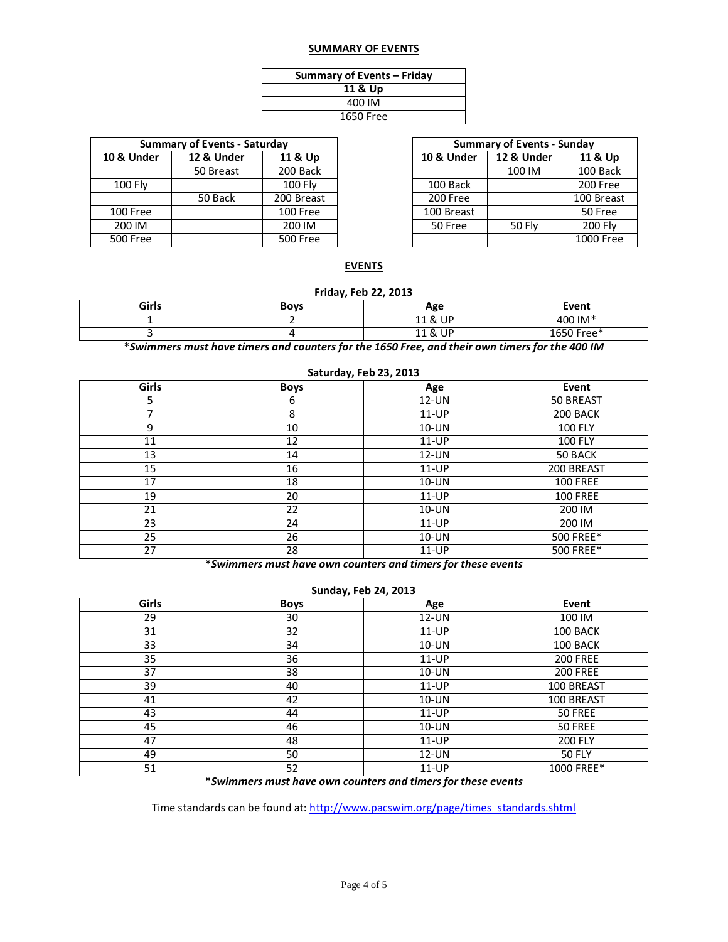# **SUMMARY OF EVENTS**

| Summary of Events - Friday |  |  |  |  |  |  |  |
|----------------------------|--|--|--|--|--|--|--|
| 11 & Up                    |  |  |  |  |  |  |  |
| 400 IM                     |  |  |  |  |  |  |  |
| 1650 Free                  |  |  |  |  |  |  |  |

|                       | <b>Summary of Events - Saturday</b> |            | <b>Summary of Events - Sunday</b> |               |           |  |  |
|-----------------------|-------------------------------------|------------|-----------------------------------|---------------|-----------|--|--|
| <b>10 &amp; Under</b> | 12 & Under                          | 11 & Up    | 10 & Under                        | 12 & Under    | 11 & Up   |  |  |
|                       | 50 Breast                           | 200 Back   |                                   | 100 IM        | 100 Back  |  |  |
| 100 Fly               |                                     | 100 Flv    | 100 Back                          |               | 200 Free  |  |  |
|                       | 50 Back                             | 200 Breast | 200 Free                          |               | 100 Breas |  |  |
| 100 Free              |                                     | 100 Free   | 100 Breast                        |               | 50 Free   |  |  |
| 200 IM                |                                     | 200 IM     | 50 Free                           | <b>50 Flv</b> | 200 Flv   |  |  |
| 500 Free              |                                     | 500 Free   |                                   |               | 1000 Free |  |  |
|                       |                                     |            |                                   |               |           |  |  |

| of Events - Saturday |            | <b>Summary of Events - Sunday</b> |               |            |  |  |  |
|----------------------|------------|-----------------------------------|---------------|------------|--|--|--|
| 2 & Under            | 11 & Up    | 10 & Under                        | 12 & Under    | 11 & Up    |  |  |  |
| 50 Breast            | 200 Back   |                                   | 100 IM        | 100 Back   |  |  |  |
|                      | 100 Fly    | 100 Back                          |               | 200 Free   |  |  |  |
| 50 Back              | 200 Breast | 200 Free                          |               | 100 Breast |  |  |  |
|                      | 100 Free   | 100 Breast                        |               | 50 Free    |  |  |  |
|                      | 200 IM     | 50 Free                           | <b>50 Fly</b> | 200 Flv    |  |  |  |
|                      | 500 Free   |                                   |               | 1000 Free  |  |  |  |

## **EVENTS**

# **Friday, Feb 22, 2013**

| Girls | <b>Boys</b> | Age        | Event           |
|-------|-------------|------------|-----------------|
|       |             | 11 & UP    | 400 IM*         |
|       |             | UP<br>11 & | .650 Free*<br>୴ |

**\****Swimmers must have timers and counters for the 1650 Free, and their own timers for the 400 IM*

| Saluruay, reb 25, 2015 |             |          |                 |  |  |  |  |  |  |  |
|------------------------|-------------|----------|-----------------|--|--|--|--|--|--|--|
| Girls                  | <b>Boys</b> | Age      | Event           |  |  |  |  |  |  |  |
| 5                      | 6           | $12$ -UN | 50 BREAST       |  |  |  |  |  |  |  |
|                        | 8           | $11-UP$  | 200 BACK        |  |  |  |  |  |  |  |
| 9                      | 10          | $10$ -UN | <b>100 FLY</b>  |  |  |  |  |  |  |  |
| 11                     | 12          | $11-UP$  | <b>100 FLY</b>  |  |  |  |  |  |  |  |
| 13                     | 14          | $12$ -UN | 50 BACK         |  |  |  |  |  |  |  |
| 15                     | 16          | $11-UP$  | 200 BREAST      |  |  |  |  |  |  |  |
| 17                     | 18          | 10-UN    | <b>100 FREE</b> |  |  |  |  |  |  |  |
| 19                     | 20          | $11-UP$  | <b>100 FREE</b> |  |  |  |  |  |  |  |
| 21                     | 22          | 10-UN    | 200 IM          |  |  |  |  |  |  |  |
| 23                     | 24          | $11-UP$  | 200 IM          |  |  |  |  |  |  |  |
| 25                     | 26          | 10-UN    | 500 FREE*       |  |  |  |  |  |  |  |
| 27                     | 28          | 11-UP    | 500 FREE*       |  |  |  |  |  |  |  |

# **Saturday, Feb 23, 2013**

**\****Swimmers must have own counters and timers for these events*

## **Sunday, Feb 24, 2013**

| Girls | <b>Boys</b> | Age     | Event           |  |  |  |  |  |  |  |
|-------|-------------|---------|-----------------|--|--|--|--|--|--|--|
| 29    | 30          | 12-UN   | 100 IM          |  |  |  |  |  |  |  |
| 31    | 32          | 11-UP   | 100 BACK        |  |  |  |  |  |  |  |
| 33    | 34          | 10-UN   | 100 BACK        |  |  |  |  |  |  |  |
| 35    | 36          | $11-UP$ | <b>200 FREE</b> |  |  |  |  |  |  |  |
| 37    | 38          | 10-UN   | <b>200 FREE</b> |  |  |  |  |  |  |  |
| 39    | 40          | $11-UP$ | 100 BREAST      |  |  |  |  |  |  |  |
| 41    | 42          | 10-UN   | 100 BREAST      |  |  |  |  |  |  |  |
| 43    | 44          | $11-UP$ | 50 FREE         |  |  |  |  |  |  |  |
| 45    | 46          | 10-UN   | 50 FREE         |  |  |  |  |  |  |  |
| 47    | 48          | $11-UP$ | <b>200 FLY</b>  |  |  |  |  |  |  |  |
| 49    | 50          | 12-UN   | <b>50 FLY</b>   |  |  |  |  |  |  |  |
| 51    | 52          | 11-UP   | 1000 FREE*      |  |  |  |  |  |  |  |

**\****Swimmers must have own counters and timers for these events*

Time standards can be found at: [http://www.pacswim.org/page/times\\_standards.shtml](http://www.pacswim.org/page/times_standards.shtml)